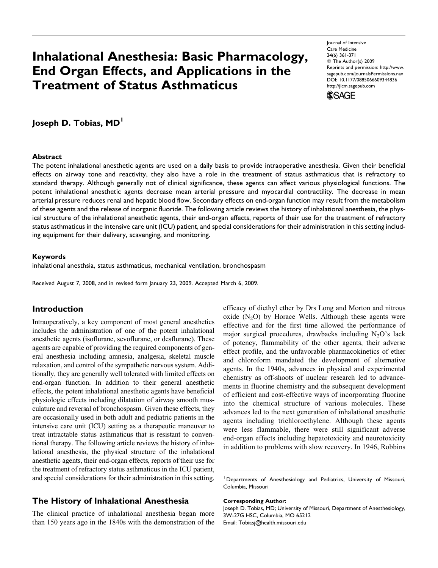# Inhalational Anesthesia: Basic Pharmacology, End Organ Effects, and Applications in the Treatment of Status Asthmaticus

Journal of Intensive Care Medicine 24(6) 361-371 © The Author(s) 2009 Reprints and permission: http://www. sagepub.com/journalsPermissions.nav DOI: 10.1177/0885066609344836 http://jicm.sagepub.com



Joseph D. Tobias, MD<sup>1</sup>

#### **Abstract**

The potent inhalational anesthetic agents are used on a daily basis to provide intraoperative anesthesia. Given their beneficial effects on airway tone and reactivity, they also have a role in the treatment of status asthmaticus that is refractory to standard therapy. Although generally not of clinical significance, these agents can affect various physiological functions. The potent inhalational anesthetic agents decrease mean arterial pressure and myocardial contractility. The decrease in mean arterial pressure reduces renal and hepatic blood flow. Secondary effects on end-organ function may result from the metabolism of these agents and the release of inorganic fluoride. The following article reviews the history of inhalational anesthesia, the physical structure of the inhalational anesthetic agents, their end-organ effects, reports of their use for the treatment of refractory status asthmaticus in the intensive care unit (ICU) patient, and special considerations for their administration in this setting including equipment for their delivery, scavenging, and monitoring.

#### Keywords

inhalational anesthsia, status asthmaticus, mechanical ventilation, bronchospasm

Received August 7, 2008, and in revised form January 23, 2009. Accepted March 6, 2009.

## Introduction

Intraoperatively, a key component of most general anesthetics includes the administration of one of the potent inhalational anesthetic agents (isoflurane, sevoflurane, or desflurane). These agents are capable of providing the required components of general anesthesia including amnesia, analgesia, skeletal muscle relaxation, and control of the sympathetic nervous system. Additionally, they are generally well tolerated with limited effects on end-organ function. In addition to their general anesthetic effects, the potent inhalational anesthetic agents have beneficial physiologic effects including dilatation of airway smooth musculature and reversal of bronchospasm. Given these effects, they are occasionally used in both adult and pediatric patients in the intensive care unit (ICU) setting as a therapeutic maneuver to treat intractable status asthmaticus that is resistant to conventional therapy. The following article reviews the history of inhalational anesthesia, the physical structure of the inhalational anesthetic agents, their end-organ effects, reports of their use for the treatment of refractory status asthmaticus in the ICU patient, and special considerations for their administration in this setting.

## The History of Inhalational Anesthesia

The clinical practice of inhalational anesthesia began more than 150 years ago in the 1840s with the demonstration of the efficacy of diethyl ether by Drs Long and Morton and nitrous oxide  $(N_2O)$  by Horace Wells. Although these agents were effective and for the first time allowed the performance of major surgical procedures, drawbacks including  $N_2O$ 's lack of potency, flammability of the other agents, their adverse effect profile, and the unfavorable pharmacokinetics of ether and chloroform mandated the development of alternative agents. In the 1940s, advances in physical and experimental chemistry as off-shoots of nuclear research led to advancements in fluorine chemistry and the subsequent development of efficient and cost-effective ways of incorporating fluorine into the chemical structure of various molecules. These advances led to the next generation of inhalational anesthetic agents including trichloroethylene. Although these agents were less flammable, there were still significant adverse end-organ effects including hepatotoxicity and neurotoxicity in addition to problems with slow recovery. In 1946, Robbins

#### Corresponding Author:

Joseph D. Tobias, MD; University of Missouri, Department of Anesthesiology, 3W-27G HSC, Columbia, MO 65212 Email: Tobiasj@health.missouri.edu

<sup>&</sup>lt;sup>1</sup> Departments of Anesthesiology and Pediatrics, University of Missouri, Columbia, Missouri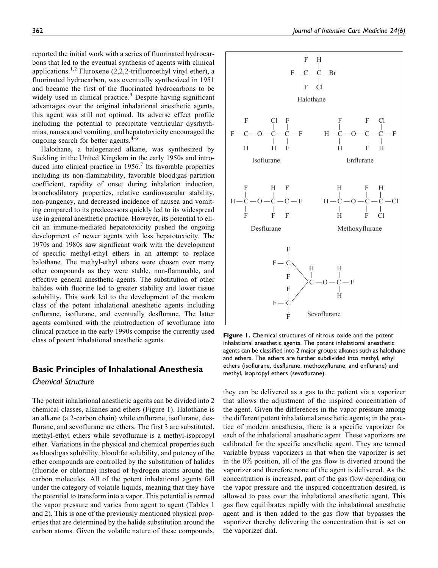reported the initial work with a series of fluorinated hydrocarbons that led to the eventual synthesis of agents with clinical applications.<sup>1,2</sup> Fluroxene (2,2,2-trifluoroethyl vinyl ether), a fluorinated hydrocarbon, was eventually synthesized in 1951 and became the first of the fluorinated hydrocarbons to be widely used in clinical practice. $3$  Despite having significant advantages over the original inhalational anesthetic agents, this agent was still not optimal. Its adverse effect profile including the potential to precipitate ventricular dysrhythmias, nausea and vomiting, and hepatotoxicity encouraged the ongoing search for better agents.<sup>4-6</sup>

Halothane, a halogenated alkane, was synthesized by Suckling in the United Kingdom in the early 1950s and introduced into clinical practice in  $1956$ . Its favorable properties including its non-flammability, favorable blood:gas partition coefficient, rapidity of onset during inhalation induction, bronchodilatory properties, relative cardiovascular stability, non-pungency, and decreased incidence of nausea and vomiting compared to its predecessors quickly led to its widespread use in general anesthetic practice. However, its potential to elicit an immune-mediated hepatotoxicity pushed the ongoing development of newer agents with less hepatotoxicity. The 1970s and 1980s saw significant work with the development of specific methyl-ethyl ethers in an attempt to replace halothane. The methyl-ethyl ethers were chosen over many other compounds as they were stable, non-flammable, and effective general anesthetic agents. The substitution of other halides with fluorine led to greater stability and lower tissue solubility. This work led to the development of the modern class of the potent inhalational anesthetic agents including enflurane, isoflurane, and eventually desflurane. The latter agents combined with the reintroduction of sevoflurane into clinical practice in the early 1990s comprise the currently used class of potent inhalational anesthetic agents.

## Basic Principles of Inhalational Anesthesia

#### Chemical Structure

The potent inhalational anesthetic agents can be divided into 2 chemical classes, alkanes and ethers (Figure 1). Halothane is an alkane (a 2-carbon chain) while enflurane, isoflurane, desflurane, and sevoflurane are ethers. The first 3 are substituted, methyl-ethyl ethers while sevoflurane is a methyl-isopropyl ether. Variations in the physical and chemical properties such as blood:gas solubility, blood:fat solubility, and potency of the ether compounds are controlled by the substitution of halides (fluoride or chlorine) instead of hydrogen atoms around the carbon molecules. All of the potent inhalational agents fall under the category of volatile liquids, meaning that they have the potential to transform into a vapor. This potential is termed the vapor pressure and varies from agent to agent (Tables 1 and 2). This is one of the previously mentioned physical properties that are determined by the halide substitution around the carbon atoms. Given the volatile nature of these compounds,



Figure 1. Chemical structures of nitrous oxide and the potent inhalational anesthetic agents. The potent inhalational anesthetic agents can be classified into 2 major groups: alkanes such as halothane and ethers. The ethers are further subdivided into methyl, ethyl ethers (isoflurane, desflurane, methoxyflurane, and enflurane) and methyl, isopropyl ethers (sevoflurane).

they can be delivered as a gas to the patient via a vaporizer that allows the adjustment of the inspired concentration of the agent. Given the differences in the vapor pressure among the different potent inhalational anesthetic agents; in the practice of modern anesthesia, there is a specific vaporizer for each of the inhalational anesthetic agent. These vaporizers are calibrated for the specific anesthetic agent. They are termed variable bypass vaporizers in that when the vaporizer is set in the  $0\%$  position, all of the gas flow is diverted around the vaporizer and therefore none of the agent is delivered. As the concentration is increased, part of the gas flow depending on the vapor pressure and the inspired concentration desired, is allowed to pass over the inhalational anesthetic agent. This gas flow equilibrates rapidly with the inhalational anesthetic agent and is then added to the gas flow that bypasses the vaporizer thereby delivering the concentration that is set on the vaporizer dial.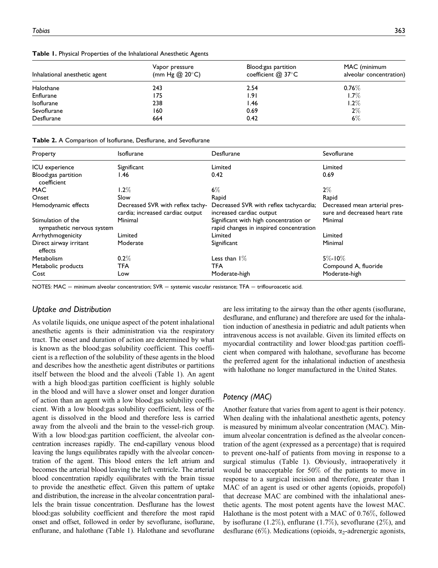|  |  |  |  | Table 1. Physical Properties of the Inhalational Anesthetic Agents |  |  |
|--|--|--|--|--------------------------------------------------------------------|--|--|
|--|--|--|--|--------------------------------------------------------------------|--|--|

| Inhalational anesthetic agent | Vapor pressure<br>(mm Hg $@$ 20 $°C$ ) | Blood:gas partition<br>coefficient $@37^{\circ}$ C | MAC (minimum<br>alveolar concentration) |
|-------------------------------|----------------------------------------|----------------------------------------------------|-----------------------------------------|
| Halothane                     | 243                                    | 2.54                                               | $0.76\%$                                |
| Enflurane                     | 175                                    | 1.91                                               | $1.7\%$                                 |
| Isoflurane                    | 238                                    | l.46                                               | $1.2\%$                                 |
| Sevoflurane                   | 160                                    | 0.69                                               | $2\%$                                   |
| Desflurane                    | 664                                    | 0.42                                               | $6\%$                                   |

| Property                                         | <b>Isoflurane</b>                                                    | Desflurane                                                                        | Sevoflurane                                                    |
|--------------------------------------------------|----------------------------------------------------------------------|-----------------------------------------------------------------------------------|----------------------------------------------------------------|
| ICU experience                                   | Significant                                                          | Limited                                                                           | Limited                                                        |
| Blood:gas partition<br>coefficient               | l.46                                                                 | 0.42                                                                              | 0.69                                                           |
| MAC                                              | $1.2\%$                                                              | $6\%$                                                                             | $2\%$                                                          |
| Onset                                            | Slow                                                                 | Rapid                                                                             | Rapid                                                          |
| Hemodynamic effects                              | Decreased SVR with reflex tachy-<br>cardia; increased cardiac output | Decreased SVR with reflex tachycardia;<br>increased cardiac output                | Decreased mean arterial pres-<br>sure and decreased heart rate |
| Stimulation of the<br>sympathetic nervous system | Minimal                                                              | Significant with high concentration or<br>rapid changes in inspired concentration | Minimal                                                        |
| Arrhythmogenicity                                | Limited                                                              | Limited                                                                           | Limited                                                        |
| Direct airway irritant<br>effects                | Moderate                                                             | Significant                                                                       | Minimal                                                        |
| Metabolism                                       | $0.2\%$                                                              | Less than $1\%$                                                                   | $5\% - 10\%$                                                   |
| Metabolic products                               | TFA                                                                  | TFA                                                                               | Compound A, fluoride                                           |
| Cost                                             | Low                                                                  | Moderate-high                                                                     | Moderate-high                                                  |

NOTES: MAC = minimum alveolar concentration;  $SVR =$  systemic vascular resistance; TFA = triflouroacetic acid.

#### Uptake and Distribution

As volatile liquids, one unique aspect of the potent inhalational anesthetic agents is their administration via the respiratory tract. The onset and duration of action are determined by what is known as the blood:gas solubility coefficient. This coefficient is a reflection of the solubility of these agents in the blood and describes how the anesthetic agent distributes or partitions itself between the blood and the alveoli (Table 1). An agent with a high blood:gas partition coefficient is highly soluble in the blood and will have a slower onset and longer duration of action than an agent with a low blood:gas solubility coefficient. With a low blood:gas solubility coefficient, less of the agent is dissolved in the blood and therefore less is carried away from the alveoli and the brain to the vessel-rich group. With a low blood:gas partition coefficient, the alveolar concentration increases rapidly. The end-capillary venous blood leaving the lungs equilibrates rapidly with the alveolar concentration of the agent. This blood enters the left atrium and becomes the arterial blood leaving the left ventricle. The arterial blood concentration rapidly equilibrates with the brain tissue to provide the anesthetic effect. Given this pattern of uptake and distribution, the increase in the alveolar concentration parallels the brain tissue concentration. Desflurane has the lowest blood:gas solubility coefficient and therefore the most rapid onset and offset, followed in order by sevoflurane, isoflurane, enflurane, and halothane (Table 1). Halothane and sevoflurane

are less irritating to the airway than the other agents (isoflurane, desflurane, and enflurane) and therefore are used for the inhalation induction of anesthesia in pediatric and adult patients when intravenous access is not available. Given its limited effects on myocardial contractility and lower blood:gas partition coefficient when compared with halothane, sevoflurane has become the preferred agent for the inhalational induction of anesthesia with halothane no longer manufactured in the United States.

## Potency (MAC)

Another feature that varies from agent to agent is their potency. When dealing with the inhalational anesthetic agents, potency is measured by minimum alveolar concentration (MAC). Minimum alveolar concentration is defined as the alveolar concentration of the agent (expressed as a percentage) that is required to prevent one-half of patients from moving in response to a surgical stimulus (Table 1). Obviously, intraoperatively it would be unacceptable for 50% of the patients to move in response to a surgical incision and therefore, greater than 1 MAC of an agent is used or other agents (opioids, propofol) that decrease MAC are combined with the inhalational anesthetic agents. The most potent agents have the lowest MAC. Halothane is the most potent with a MAC of 0.76%, followed by isoflurane (1.2%), enflurane (1.7%), sevoflurane (2%), and desflurane (6%). Medications (opioids,  $\alpha_2$ -adrenergic agonists,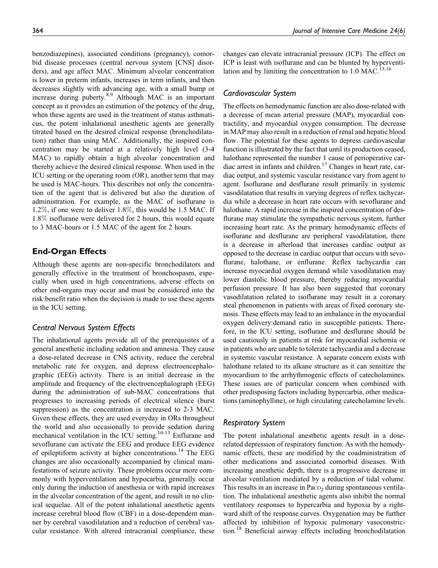benzodiazepines), associated conditions (pregnancy), comorbid disease processes (central nervous system [CNS] disorders), and age affect MAC. Minimum alveolar concentration is lower in preterm infants, increases in term infants, and then decreases slightly with advancing age, with a small bump or increase during puberty.<sup>8,9</sup> Although MAC is an important concept as it provides an estimation of the potency of the drug, when these agents are used in the treatment of status asthmaticus, the potent inhalational anesthetic agents are generally titrated based on the desired clinical response (bronchodilatation) rather than using MAC. Additionally, the inspired concentration may be started at a relatively high level (3-4 MAC) to rapidly obtain a high alveolar concentration and thereby achieve the desired clinical response. When used in the ICU setting or the operating room (OR), another term that may be used is MAC-hours. This describes not only the concentration of the agent that is delivered but also the duration of administration. For example, as the MAC of isoflurane is 1.2%, if one were to deliver 1.8%, this would be 1.5 MAC. If 1.8% isoflurane were delivered for 2 hours, this would equate to 3 MAC-hours or 1.5 MAC of the agent for 2 hours.

# End-Organ Effects

Although these agents are non-specific bronchodilators and generally effective in the treatment of bronchospasm, especially when used in high concentrations, adverse effects on other end-organs may occur and must be considered into the risk:benefit ratio when the decision is made to use these agents in the ICU setting.

## Central Nervous System Effects

The inhalational agents provide all of the prerequisites of a general anesthetic including sedation and amnesia. They cause a dose-related decrease in CNS activity, reduce the cerebral metabolic rate for oxygen, and depress electroencephalographic (EEG) activity. There is an initial decrease in the amplitude and frequency of the electroencephalograph (EEG) during the administration of sub-MAC concentrations that progresses to increasing periods of electrical silence (burst suppression) as the concentration is increased to 2-3 MAC. Given these effects, they are used everyday in ORs throughout the world and also occasionally to provide sedation during mechanical ventilation in the ICU setting.<sup>10-13</sup> Enflurane and sevoflurane can activate the EEG and produce EEG evidence of epileptiform activity at higher concentrations.<sup>14</sup> The EEG changes are also occasionally accompanied by clinical manifestations of seizure activity. These problems occur more commonly with hyperventilation and hypocarbia, generally occur only during the induction of anesthesia or with rapid increases in the alveolar concentration of the agent, and result in no clinical sequelae. All of the potent inhalational anesthetic agents increase cerebral blood flow (CBF) in a dose-dependent manner by cerebral vasodilatation and a reduction of cerebral vascular resistance. With altered intracranial compliance, these

changes can elevate intracranial pressure (ICP). The effect on ICP is least with isoflurane and can be blunted by hyperventilation and by limiting the concentration to  $1.0$  MAC.<sup>15,16</sup>

#### Cardiovascular System

The effects on hemodynamic function are also dose-related with a decrease of mean arterial pressure (MAP), myocardial contractility, and myocardial oxygen consumption. The decrease in MAP may also result in a reduction of renal and hepatic blood flow. The potential for these agents to depress cardiovascular function is illustrated by the fact that until its production ceased, halothane represented the number 1 cause of perioperative cardiac arrest in infants and children.<sup>17</sup> Changes in heart rate, cardiac output, and systemic vascular resistance vary from agent to agent. Isoflurane and desflurane result primarily in systemic vasodilatation that results in varying degrees of reflex tachycardia while a decrease in heart rate occurs with sevoflurane and halothane. A rapid increase in the inspired concentration of desflurane may stimulate the sympathetic nervous system, further increasing heart rate. As the primary hemodynamic effects of isoflurane and desflurane are peripheral vasodilatation, there is a decrease in afterload that increases cardiac output as opposed to the decrease in cardiac output that occurs with sevoflurane, halothane, or enflurane. Reflex tachycardia can increase myocardial oxygen demand while vasodilatation may lower diastolic blood pressure, thereby reducing myocardial perfusion pressure. It has also been suggested that coronary vasodilatation related to isoflurane may result in a coronary steal phenomenon in patients with areas of fixed coronary stenosis. These effects may lead to an imbalance in the myocardial oxygen delivery:demand ratio in susceptible patients. Therefore, in the ICU setting, isoflurane and desflurane should be used cautiously in patients at risk for myocardial ischemia or in patients who are unable to tolerate tachycardia and a decrease in systemic vascular resistance. A separate concern exists with halothane related to its alkane structure as it can sensitize the myocardium to the arrhythmogenic effects of catecholamines. These issues are of particular concern when combined with other predisposing factors including hypercarbia, other medications (aminophylline), or high circulating catecholamine levels.

#### Respiratory System

The potent inhalational anesthetic agents result in a doserelated depression of respiratory function. As with the hemodynamic effects, these are modified by the coadministration of other medications and associated comorbid diseases. With increasing anesthetic depth, there is a progressive decrease in alveolar ventilation mediated by a reduction of tidal volume. This results in an increase in  $P_{\text{aCO}_2}$  during spontaneous ventilation. The inhalational anesthetic agents also inhibit the normal ventilatory responses to hypercarbia and hypoxia by a rightward shift of the response curves. Oxygenation may be further affected by inhibition of hypoxic pulmonary vasoconstriction.<sup>18</sup> Beneficial airway effects including bronchodilatation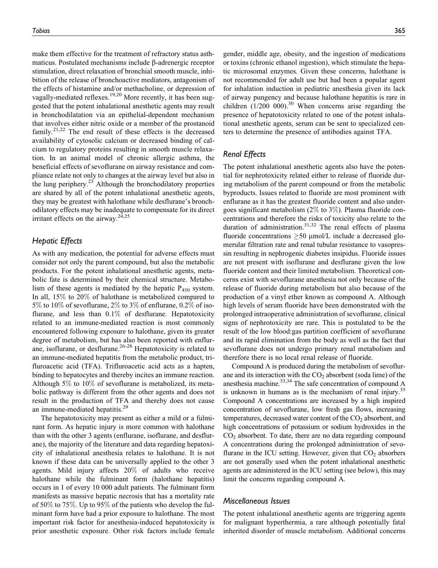make them effective for the treatment of refractory status asthmaticus. Postulated mechanisms include  $\beta$ -adrenergic receptor stimulation, direct relaxation of bronchial smooth muscle, inhibition of the release of bronchoactive mediators, antagonism of the effects of histamine and/or methacholine, or depression of vagally-mediated reflexes.<sup>19,20</sup> More recently, it has been suggested that the potent inhalational anesthetic agents may result in bronchodilatation via an epithelial-dependent mechanism that involves either nitric oxide or a member of the prostanoid family.<sup>21,22</sup> The end result of these effects is the decreased availability of cytosolic calcium or decreased binding of calcium to regulatory proteins resulting in smooth muscle relaxation. In an animal model of chronic allergic asthma, the beneficial effects of sevoflurane on airway resistance and compliance relate not only to changes at the airway level but also in the lung periphery. $2<sup>3</sup>$  Although the bronchodilatory properties are shared by all of the potent inhalational anesthetic agents, they may be greatest with halothane while desflurane's bronchodilatory effects may be inadequate to compensate for its direct irritant effects on the airway.<sup>24,25</sup>

## Hepatic Effects

As with any medication, the potential for adverse effects must consider not only the parent compound, but also the metabolic products. For the potent inhalational anesthetic agents, metabolic fate is determined by their chemical structure. Metabolism of these agents is mediated by the hepatic  $P_{450}$  system. In all, 15% to 20% of halothane is metabolized compared to 5% to 10% of sevoflurane, 2% to 3% of enflurane, 0.2% of isoflurane, and less than  $0.1\%$  of desflurane. Hepatotoxicity related to an immune-mediated reaction is most commonly encountered following exposure to halothane, given its greater degree of metabolism, but has also been reported with enflurane, isoflurane, or desflurane. $26-28$  Hepatotoxicity is related to an immune-mediated hepatitis from the metabolic product, trifluroacetic acid (TFA). Trifluroacetic acid acts as a hapten, binding to hepatocytes and thereby incites an immune reaction. Although 5% to 10% of sevoflurane is metabolized, its metabolic pathway is different from the other agents and does not result in the production of TFA and thereby does not cause an immune-mediated hepatitis.<sup>29</sup>

The hepatotoxicity may present as either a mild or a fulminant form. As hepatic injury is more common with halothane than with the other 3 agents (enflurane, isoflurane, and desflurane), the majority of the literature and data regarding hepatoxicity of inhalational anesthesia relates to halothane. It is not known if these data can be universally applied to the other 3 agents. Mild injury affects 20% of adults who receive halothane while the fulminant form (halothane hepatitis) occurs in 1 of every 10 000 adult patients. The fulminant form manifests as massive hepatic necrosis that has a mortality rate of 50% to 75%. Up to 95% of the patients who develop the fulminant form have had a prior exposure to halothane. The most important risk factor for anesthesia-induced hepatotoxicity is prior anesthetic exposure. Other risk factors include female

Tobias 365

gender, middle age, obesity, and the ingestion of medications or toxins (chronic ethanol ingestion), which stimulate the hepatic microsomal enzymes. Given these concerns, halothane is not recommended for adult use but had been a popular agent for inhalation induction in pediatric anesthesia given its lack of airway pungency and because halothane hepatitis is rare in children  $(1/200 000)^{30}$  When concerns arise regarding the presence of hepatotoxicity related to one of the potent inhalational anesthetic agents, serum can be sent to specialized centers to determine the presence of antibodies against TFA.

#### Renal Effects

The potent inhalational anesthetic agents also have the potential for nephrotoxicity related either to release of fluoride during metabolism of the parent compound or from the metabolic byproducts. Issues related to fluoride are most prominent with enflurane as it has the greatest fluoride content and also undergoes significant metabolism (2% to 3%). Plasma fluoride concentrations and therefore the risks of toxicity also relate to the duration of administration.<sup>31,32</sup> The renal effects of plasma fluoride concentrations  $\geq 50 \mu$ mol/L include a decreased glomerular filtration rate and renal tubular resistance to vasopressin resulting in nephrogenic diabetes insipidus. Fluoride issues are not present with isoflurane and desflurane given the low fluoride content and their limited metabolism. Theoretical concerns exist with sevoflurane anesthesia not only because of the release of fluoride during metabolism but also because of the production of a vinyl ether known as compound A. Although high levels of serum fluoride have been demonstrated with the prolonged intraoperative administration of sevoflurane, clinical signs of nephrotoxicity are rare. This is postulated to be the result of the low blood:gas partition coefficient of sevoflurane and its rapid elimination from the body as well as the fact that sevoflurane does not undergo primary renal metabolism and therefore there is no local renal release of fluoride.

Compound A is produced during the metabolism of sevoflurane and its interaction with the  $CO<sub>2</sub>$  absorbent (soda lime) of the anesthesia machine.<sup>33,34</sup> The safe concentration of compound A is unknown in humans as is the mechanism of renal injury.<sup>35</sup> Compound A concentrations are increased by a high inspired concentration of sevoflurane, low fresh gas flows, increasing temperatures, decreased water content of the  $CO<sub>2</sub>$  absorbent, and high concentrations of potassium or sodium hydroxides in the  $CO<sub>2</sub>$  absorbent. To date, there are no data regarding compound A concentrations during the prolonged administration of sevoflurane in the ICU setting. However, given that  $CO<sub>2</sub>$  absorbers are not generally used when the potent inhalational anesthetic agents are administered in the ICU setting (see below), this may limit the concerns regarding compound A.

#### Miscellaneous Issues

The potent inhalational anesthetic agents are triggering agents for malignant hyperthermia, a rare although potentially fatal inherited disorder of muscle metabolism. Additional concerns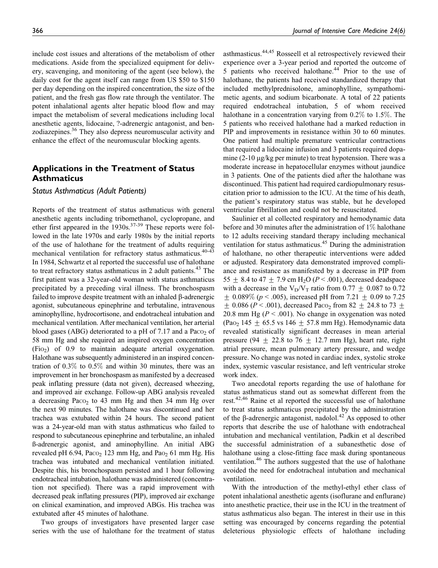include cost issues and alterations of the metabolism of other medications. Aside from the specialized equipment for delivery, scavenging, and monitoring of the agent (see below), the daily cost for the agent itself can range from US \$50 to \$150 per day depending on the inspired concentration, the size of the patient, and the fresh gas flow rate through the ventilator. The potent inhalational agents alter hepatic blood flow and may impact the metabolism of several medications including local anesthetic agents, lidocaine, ?-adrenergic antagonist, and benzodiazepines.<sup>36</sup> They also depress neuromuscular activity and enhance the effect of the neuromuscular blocking agents.

# Applications in the Treatment of Status **Asthmaticus**

#### Status Asthmaticus (Adult Patients)

Reports of the treatment of status asthmaticus with general anesthetic agents including tribomethanol, cyclopropane, and ether first appeared in the  $1930s$ .<sup>37-39</sup> These reports were followed in the late 1970s and early 1980s by the initial reports of the use of halothane for the treatment of adults requiring mechanical ventilation for refractory status asthmaticus.<sup>40-43</sup> In 1984, Schwartz et al reported the successful use of halothane to treat refractory status asthmaticus in 2 adult patients. $43$  The first patient was a 32-year-old woman with status asthmaticus precipitated by a preceding viral illness. The bronchospasm failed to improve despite treatment with an inhaled  $\beta$ -adrenergic agonist, subcutaneous epinephrine and terbutaline, intravenous aminophylline, hydrocortisone, and endotracheal intubation and mechanical ventilation. After mechanical ventilation, her arterial blood gases (ABG) deteriorated to a pH of 7.17 and a Paco<sub>2</sub> of 58 mm Hg and she required an inspired oxygen concentration (FiO2) of 0.9 to maintain adequate arterial oxygenation. Halothane was subsequently administered in an inspired concentration of 0.3% to 0.5% and within 30 minutes, there was an improvement in her bronchospasm as manifested by a decreased peak inflating pressure (data not given), decreased wheezing, and improved air exchange. Follow-up ABG analysis revealed a decreasing Paco<sub>2</sub> to 43 mm Hg and then 34 mm Hg over the next 90 minutes. The halothane was discontinued and her trachea was extubated within 24 hours. The second patient was a 24-year-old man with status asthmaticus who failed to respond to subcutaneous epinephrine and terbutaline, an inhaled ß-adrenergic agonist, and aminophylline. An initial ABG revealed pH  $6.94$ , Pa $\cos$  123 mm Hg, and Pa $\cos$  61 mm Hg. His trachea was intubated and mechanical ventilation initiated. Despite this, his bronchospasm persisted and 1 hour following endotracheal intubation, halothane was administered (concentration not specified). There was a rapid improvement with decreased peak inflating pressures (PIP), improved air exchange on clinical examination, and improved ABGs. His trachea was extubated after 45 minutes of halothane.

Two groups of investigators have presented larger case series with the use of halothane for the treatment of status

asthmasticus.44,45 Rosseell et al retrospectively reviewed their experience over a 3-year period and reported the outcome of 5 patients who received halothane. $44$  Prior to the use of halothane, the patients had received standardized therapy that included methylprednisolone, aminophylline, sympathomimetic agents, and sodium bicarbonate. A total of 22 patients required endotracheal intubation, 5 of whom received halothane in a concentration varying from 0.2% to 1.5%. The 5 patients who received halothane had a marked reduction in PIP and improvements in resistance within 30 to 60 minutes. One patient had multiple premature ventricular contractions that required a lidocaine infusion and 3 patients required dopamine  $(2-10 \mu g/kg$  per minute) to treat hypotension. There was a moderate increase in hepatocellular enzymes without jaundice in 3 patients. One of the patients died after the halothane was discontinued. This patient had required cardiopulmonary resuscitation prior to admission to the ICU. At the time of his death, the patient's respiratory status was stable, but he developed ventricular fibrillation and could not be resuscitated.

Saulinier et al collected respiratory and hemodynamic data before and 30 minutes after the administration of 1% halothane to 12 adults receiving standard therapy including mechanical ventilation for status asthmaticus.45 During the administration of halothane, no other therapeutic interventions were added or adjusted. Respiratory data demonstrated improved compliance and resistance as manifested by a decrease in PIP from 55  $\pm$  8.4 to 47  $\pm$  7.9 cm H<sub>2</sub>O (P < .001), decreased deadspace with a decrease in the  $V_D/V_T$  ratio from 0.77  $\pm$  0.087 to 0.72  $\pm$  0.089% ( $p < .005$ ), increased pH from 7.21  $\pm$  0.09 to 7.25  $\pm$  0.086 (P < .001), decreased Paco<sub>2</sub> from 82  $\pm$  24.8 to 73  $\pm$ 20.8 mm Hg ( $P < .001$ ). No change in oxygenation was noted (Pao<sub>2</sub> 145  $\pm$  65.5 vs 146  $\pm$  57.8 mm Hg). Hemodynamic data revealed statistically significant decreases in mean arterial pressure (94  $\pm$  22.8 to 76  $\pm$  12.7 mm Hg), heart rate, right atrial pressure, mean pulmonary artery pressure, and wedge pressure. No change was noted in cardiac index, systolic stroke index, systemic vascular resistance, and left ventricular stroke work index.

Two anecdotal reports regarding the use of halothane for status asthmaticus stand out as somewhat different from the rest.<sup>42,46</sup> Raine et al reported the successful use of halothane to treat status asthmaticus precipitated by the administration of the  $\beta$ -adrenergic antagonist, nadolol.<sup>42</sup> As opposed to other reports that describe the use of halothane with endotracheal intubation and mechanical ventilation, Padkin et al described the successful administration of a subanesthetic dose of halothane using a close-fitting face mask during spontaneous ventilation.<sup>46</sup> The authors suggested that the use of halothane avoided the need for endotracheal intubation and mechanical ventilation.

With the introduction of the methyl-ethyl ether class of potent inhalational anesthetic agents (isoflurane and enflurane) into anesthetic practice, their use in the ICU in the treatment of status asthmaticus also began. The interest in their use in this setting was encouraged by concerns regarding the potential deleterious physiologic effects of halothane including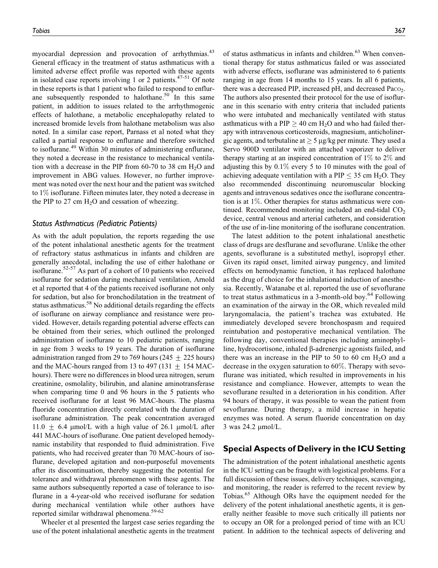myocardial depression and provocation of arrhythmias.<sup>43</sup> General efficacy in the treatment of status asthmaticus with a limited adverse effect profile was reported with these agents in isolated case reports involving 1 or 2 patients. $47-51$  Of note in these reports is that 1 patient who failed to respond to enflurane subsequently responded to halothane.<sup>50</sup> In this same patient, in addition to issues related to the arrhythmogenic effects of halothane, a metabolic encephalopathy related to increased bromide levels from halothane metabolism was also noted. In a similar case report, Parnass et al noted what they called a partial response to enflurane and therefore switched to isoflurane.<sup>49</sup> Within 30 minutes of administering enflurane, they noted a decrease in the resistance to mechanical ventilation with a decrease in the PIP from 60-70 to 38 cm  $H<sub>2</sub>O$  and improvement in ABG values. However, no further improvement was noted over the next hour and the patient was switched to 1% isoflurane. Fifteen minutes later, they noted a decrease in the PIP to 27 cm  $H_2O$  and cessation of wheezing.

#### Status Asthmaticus (Pediatric Patients)

As with the adult population, the reports regarding the use of the potent inhalational anesthetic agents for the treatment of refractory status asthmaticus in infants and children are generally anecdotal, including the use of either halothane or isoflurane.<sup>52-57</sup> As part of a cohort of 10 patients who received isoflurane for sedation during mechanical ventilation, Arnold et al reported that 4 of the patients received isoflurane not only for sedation, but also for bronchodilatation in the treatment of status asthmaticus.<sup>58</sup> No additional details regarding the effects of isoflurane on airway compliance and resistance were provided. However, details regarding potential adverse effects can be obtained from their series, which outlined the prolonged administration of isoflurane to 10 pediatric patients, ranging in age from 3 weeks to 19 years. The duration of isoflurane administration ranged from 29 to 769 hours ( $245 + 225$  hours) and the MAC-hours ranged from 13 to 497 (131  $\pm$  154 MAChours). There were no differences in blood urea nitrogen, serum creatinine, osmolality, bilirubin, and alanine aminotransferase when comparing time 0 and 96 hours in the 5 patients who received isoflurane for at least 96 MAC-hours. The plasma fluoride concentration directly correlated with the duration of isoflurane administration. The peak concentration averaged 11.0  $\pm$  6.4 µmol/L with a high value of 26.1 µmol/L after 441 MAC-hours of isoflurane. One patient developed hemodynamic instability that responded to fluid administration. Five patients, who had received greater than 70 MAC-hours of isoflurane, developed agitation and non-purposeful movements after its discontinuation, thereby suggesting the potential for tolerance and withdrawal phenomenon with these agents. The same authors subsequently reported a case of tolerance to isoflurane in a 4-year-old who received isoflurane for sedation during mechanical ventilation while other authors have reported similar withdrawal phenomena.<sup>59-62</sup>

Wheeler et al presented the largest case series regarding the use of the potent inhalational anesthetic agents in the treatment of status asthmaticus in infants and children.<sup>63</sup> When conventional therapy for status asthmaticus failed or was associated with adverse effects, isoflurane was administered to 6 patients ranging in age from 14 months to 15 years. In all 6 patients, there was a decreased PIP, increased pH, and decreased Paco. The authors also presented their protocol for the use of isoflurane in this scenario with entry criteria that included patients who were intubated and mechanically ventilated with status asthmaticus with a PIP  $\geq$  40 cm H<sub>2</sub>O and who had failed therapy with intravenous corticosteroids, magnesium, anticholinergic agents, and terbutaline at  $\geq 5 \mu g/kg$  per minute. They used a Servo 900D ventilator with an attached vaporizer to deliver therapy starting at an inspired concentration of  $1\%$  to  $2\%$  and adjusting this by 0.1% every 5 to 10 minutes with the goal of achieving adequate ventilation with a PIP  $\leq$  35 cm H<sub>2</sub>O. They also recommended discontinuing neuromuscular blocking agents and intravenous sedatives once the isoflurane concentration is at 1%. Other therapies for status asthmaticus were continued. Recommended monitoring included an end-tidal  $CO<sub>2</sub>$ device, central venous and arterial catheters, and consideration of the use of in-line monitoring of the isoflurane concentration.

The latest addition to the potent inhalational anesthetic class of drugs are desflurane and sevoflurane. Unlike the other agents, sevoflurane is a substituted methyl, isopropyl ether. Given its rapid onset, limited airway pungency, and limited effects on hemodynamic function, it has replaced halothane as the drug of choice for the inhalational induction of anesthesia. Recently, Watanabe et al. reported the use of sevoflurane to treat status asthmaticus in a 3-month-old boy.<sup>64</sup> Following an examination of the airway in the OR, which revealed mild laryngomalacia, the patient's trachea was extubated. He immediately developed severe bronchospasm and required reintubation and postoperative mechanical ventilation. The following day, conventional therapies including aminophylline, hydrocortisone, inhaled β-adrenergic agonists failed, and there was an increase in the PIP to 50 to 60 cm  $H<sub>2</sub>O$  and a decrease in the oxygen saturation to 60%. Therapy with sevoflurane was initiated, which resulted in improvements in his resistance and compliance. However, attempts to wean the sevoflurane resulted in a deterioration in his condition. After 94 hours of therapy, it was possible to wean the patient from sevoflurane. During therapy, a mild increase in hepatic enzymes was noted. A serum fluoride concentration on day  $3$  was 24.2  $\mu$ mol/L.

## Special Aspects of Delivery in the ICU Setting

The administration of the potent inhalational anesthetic agents in the ICU setting can be fraught with logistical problems. For a full discussion of these issues, delivery techniques, scavenging, and monitoring, the reader is referred to the recent review by Tobias.<sup>65</sup> Although ORs have the equipment needed for the delivery of the potent inhalational anesthetic agents, it is generally neither feasible to move such critically ill patients nor to occupy an OR for a prolonged period of time with an ICU patient. In addition to the technical aspects of delivering and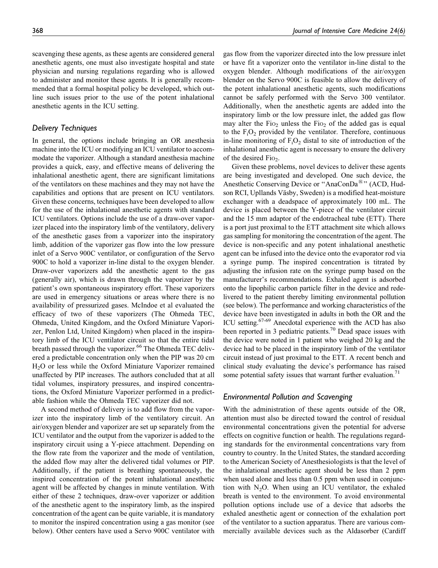scavenging these agents, as these agents are considered general anesthetic agents, one must also investigate hospital and state physician and nursing regulations regarding who is allowed to administer and monitor these agents. It is generally recommended that a formal hospital policy be developed, which outline such issues prior to the use of the potent inhalational anesthetic agents in the ICU setting.

## Delivery Techniques

In general, the options include bringing an OR anesthesia machine into the ICU or modifying an ICU ventilator to accommodate the vaporizer. Although a standard anesthesia machine provides a quick, easy, and effective means of delivering the inhalational anesthetic agent, there are significant limitations of the ventilators on these machines and they may not have the capabilities and options that are present on ICU ventilators. Given these concerns, techniques have been developed to allow for the use of the inhalational anesthetic agents with standard ICU ventilators. Options include the use of a draw-over vaporizer placed into the inspiratory limb of the ventilatory, delivery of the anesthetic gases from a vaporizer into the inspiratory limb, addition of the vaporizer gas flow into the low pressure inlet of a Servo 900C ventilator, or configuration of the Servo 900C to hold a vaporizer in-line distal to the oxygen blender. Draw-over vaporizers add the anesthetic agent to the gas (generally air), which is drawn through the vaporizer by the patient's own spontaneous inspiratory effort. These vaporizers are used in emergency situations or areas where there is no availability of pressurized gases. McIndoe et al evaluated the efficacy of two of these vaporizers (The Ohmeda TEC, Ohmeda, United Kingdom, and the Oxford Miniature Vaporizer, Penlon Ltd, United Kingdom) when placed in the inspiratory limb of the ICU ventilator circuit so that the entire tidal breath passed through the vaporizer.<sup>66</sup> The Ohmeda TEC delivered a predictable concentration only when the PIP was 20 cm H2O or less while the Oxford Miniature Vaporizer remained unaffected by PIP increases. The authors concluded that at all tidal volumes, inspiratory pressures, and inspired concentrations, the Oxford Miniature Vaporizer performed in a predictable fashion while the Ohmeda TEC vaporizer did not.

A second method of delivery is to add flow from the vaporizer into the inspiratory limb of the ventilatory circuit. An air/oxygen blender and vaporizer are set up separately from the ICU ventilator and the output from the vaporizer is added to the inspiratory circuit using a Y-piece attachment. Depending on the flow rate from the vaporizer and the mode of ventilation, the added flow may alter the delivered tidal volumes or PIP. Additionally, if the patient is breathing spontaneously, the inspired concentration of the potent inhalational anesthetic agent will be affected by changes in minute ventilation. With either of these 2 techniques, draw-over vaporizer or addition of the anesthetic agent to the inspiratory limb, as the inspired concentration of the agent can be quite variable, it is mandatory to monitor the inspired concentration using a gas monitor (see below). Other centers have used a Servo 900C ventilator with

gas flow from the vaporizer directed into the low pressure inlet or have fit a vaporizer onto the ventilator in-line distal to the oxygen blender. Although modifications of the air/oxygen blender on the Servo 900C is feasible to allow the delivery of the potent inhalational anesthetic agents, such modifications cannot be safely performed with the Servo 300 ventilator. Additionally, when the anesthetic agents are added into the inspiratory limb or the low pressure inlet, the added gas flow may alter the  $Fio<sub>2</sub>$  unless the  $Fio<sub>2</sub>$  of the added gas is equal to the  $F_iO_2$  provided by the ventilator. Therefore, continuous in-line monitoring of  $F_1O_2$  distal to site of introduction of the inhalational anesthetic agent is necessary to ensure the delivery of the desired  $Fio<sub>2</sub>$ .

Given these problems, novel devices to deliver these agents are being investigated and developed. One such device, the Anesthetic Conserving Device or "AnaConDa<sup>®</sup>" (ACD, Hudson RCI, Upllands Väsby, Sweden) is a modified heat-moisture exchanger with a deadspace of approximately 100 mL. The device is placed between the Y-piece of the ventilator circuit and the 15 mm adaptor of the endotracheal tube (ETT). There is a port just proximal to the ETT attachment site which allows gas sampling for monitoring the concentration of the agent. The device is non-specific and any potent inhalational anesthetic agent can be infused into the device onto the evaporator rod via a syringe pump. The inspired concentration is titrated by adjusting the infusion rate on the syringe pump based on the manufacturer's recommendations. Exhaled agent is adsorbed onto the lipophilic carbon particle filter in the device and redelivered to the patient thereby limiting environmental pollution (see below). The performance and working characteristics of the device have been investigated in adults in both the OR and the ICU setting.<sup>67-69</sup> Anecdotal experience with the ACD has also been reported in 3 pediatric patients.<sup>70</sup> Dead space issues with the device were noted in 1 patient who weighed 20 kg and the device had to be placed in the inspiratory limb of the ventilator circuit instead of just proximal to the ETT. A recent bench and clinical study evaluating the device's performance has raised some potential safety issues that warrant further evaluation.<sup>71</sup>

## Environmental Pollution and Scavenging

With the administration of these agents outside of the OR, attention must also be directed toward the control of residual environmental concentrations given the potential for adverse effects on cognitive function or health. The regulations regarding standards for the environmental concentrations vary from country to country. In the United States, the standard according to the American Society of Anesthesiologists is that the level of the inhalational anesthetic agent should be less than 2 ppm when used alone and less than 0.5 ppm when used in conjunction with  $N_2O$ . When using an ICU ventilator, the exhaled breath is vented to the environment. To avoid environmental pollution options include use of a device that adsorbs the exhaled anesthetic agent or connection of the exhalation port of the ventilator to a suction apparatus. There are various commercially available devices such as the Aldasorber (Cardiff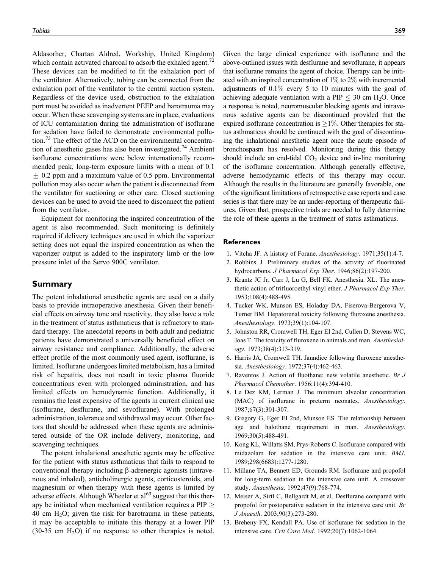Aldasorber, Chartan Aldred, Workship, United Kingdom) which contain activated charcoal to adsorb the exhaled agent.<sup> $2$ </sup> These devices can be modified to fit the exhalation port of the ventilator. Alternatively, tubing can be connected from the exhalation port of the ventilator to the central suction system. Regardless of the device used, obstruction to the exhalation port must be avoided as inadvertent PEEP and barotrauma may occur. When these scavenging systems are in place, evaluations of ICU contamination during the administration of isoflurane for sedation have failed to demonstrate environmental pollution.<sup>73</sup> The effect of the ACD on the environmental concentration of anesthetic gases has also been investigated.<sup>74</sup> Ambient isoflurane concentrations were below internationally recommended peak, long-term exposure limits with a mean of 0.1  $\pm$  0.2 ppm and a maximum value of 0.5 ppm. Environmental pollution may also occur when the patient is disconnected from the ventilator for suctioning or other care. Closed suctioning devices can be used to avoid the need to disconnect the patient from the ventilator.

Equipment for monitoring the inspired concentration of the agent is also recommended. Such monitoring is definitely required if delivery techniques are used in which the vaporizer setting does not equal the inspired concentration as when the vaporizer output is added to the inspiratory limb or the low pressure inlet of the Servo 900C ventilator.

#### Summary

The potent inhalational anesthetic agents are used on a daily basis to provide intraoperative anesthesia. Given their beneficial effects on airway tone and reactivity, they also have a role in the treatment of status asthmaticus that is refractory to standard therapy. The anecdotal reports in both adult and pediatric patients have demonstrated a universally beneficial effect on airway resistance and compliance. Additionally, the adverse effect profile of the most commonly used agent, isoflurane, is limited. Isoflurane undergoes limited metabolism, has a limited risk of hepatitis, does not result in toxic plasma fluoride concentrations even with prolonged administration, and has limited effects on hemodynamic function. Additionally, it remains the least expensive of the agents in current clinical use (isoflurane, desflurane, and sevoflurane). With prolonged administration, tolerance and withdrawal may occur. Other factors that should be addressed when these agents are administered outside of the OR include delivery, monitoring, and scavenging techniques.

The potent inhalational anesthetic agents may be effective for the patient with status asthmaticus that fails to respond to conventional therapy including  $\beta$ -adrenergic agonists (intravenous and inhaled), anticholinergic agents, corticosteroids, and magnesium or when therapy with these agents is limited by adverse effects. Although Wheeler et  $a<sup>163</sup>$  suggest that this therapy be initiated when mechanical ventilation requires a  $PIP \geq$ 40 cm  $H_2O$ ; given the risk for barotrauma in these patients, it may be acceptable to initiate this therapy at a lower PIP  $(30-35 \text{ cm } H_2O)$  if no response to other therapies is noted.

Given the large clinical experience with isoflurane and the above-outlined issues with desflurane and sevoflurane, it appears that isoflurane remains the agent of choice. Therapy can be initiated with an inspired concentration of 1% to 2% with incremental adjustments of  $0.1\%$  every 5 to 10 minutes with the goal of achieving adequate ventilation with a PIP  $\leq$  30 cm H<sub>2</sub>O. Once a response is noted, neuromuscular blocking agents and intravenous sedative agents can be discontinued provided that the expired isoflurane concentration is  $\geq$ 1%. Other therapies for status asthmaticus should be continued with the goal of discontinuing the inhalational anesthetic agent once the acute episode of bronchospasm has resolved. Monitoring during this therapy should include an end-tidal  $CO<sub>2</sub>$  device and in-line monitoring of the isoflurane concentration. Although generally effective, adverse hemodynamic effects of this therapy may occur. Although the results in the literature are generally favorable, one of the significant limitations of retrospective case reports and case series is that there may be an under-reporting of therapeutic failures. Given that, prospective trials are needed to fully determine the role of these agents in the treatment of status asthmaticus.

#### References

- 1. Vitcha JF. A history of Forane. Anesthesiology. 1971;35(1):4-7.
- 2. Robbins J. Preliminary studies of the activity of fluorinated hydrocarbons. J Pharmacol Exp Ther. 1946;86(2):197-200.
- 3. Krantz JC Jr, Carr J, Lu G, Bell FK. Anesthesia. XL. The anesthetic action of trifluoroethyl vinyl ether. J Pharmacol Exp Ther. 1953;108(4):488-495.
- 4. Tucker WK, Munson ES, Holaday DA, Fiserova-Bergerova V, Turner BM. Hepatorenal toxicity following fluroxene anesthesia. Anesthesiology. 1973;39(1):104-107.
- 5. Johnston RR, Cromwell TH, Eger EI 2nd, Cullen D, Stevens WC, Joas T. The toxicity of fluroxene in animals and man. Anesthesiology. 1973;38(4):313-319.
- 6. Harris JA, Cromwell TH. Jaundice following fluroxene anesthesia. Anesthesiology. 1972;37(4):462-463.
- 7. Raventos J. Action of fluothane: new volatile anesthetic. Br J Pharmacol Chemother. 1956;11(4):394-410.
- 8. Le Dez KM, Lerman J. The minimum alveolar concentration (MAC) of isoflurane in preterm neonates. Anesthesiology. 1987;67(3):301-307.
- 9. Gregory G, Eger EI 2nd, Munson ES. The relationship between age and halothane requirement in man. Anesthesiology. 1969;30(5):488-491.
- 10. Kong KL, Willatts SM, Prys-Roberts C. Isoflurane compared with midazolam for sedation in the intensive care unit. BMJ. 1989;298(6683):1277-1280.
- 11. Millane TA, Bennett ED, Grounds RM. Isoflurane and propofol for long-term sedation in the intensive care unit. A crossover study. Anaesthesia. 1992;47(9):768-774.
- 12. Meiser A, Sirtl C, Bellgardt M, et al. Desflurane compared with propofol for postoperative sedation in the intensive care unit. Br J Anaesth. 2003;90(3):273-280.
- 13. Breheny FX, Kendall PA. Use of isoflurane for sedation in the intensive care. Crit Care Med. 1992;20(7):1062-1064.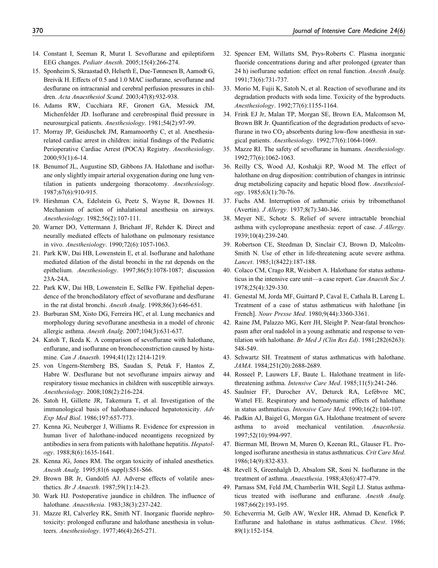- 14. Constant I, Seeman R, Murat I. Sevoflurane and epileptiform EEG changes. Pediatr Anesth. 2005;15(4):266-274.
- 15. Sponheim S, Skraastad Ø, Helseth E, Due-Tønnesen B, Aamodt G, Breivik H. Effects of 0.5 and 1.0 MAC isoflurane, sevoflurane and desflurane on intracranial and cerebral perfusion pressures in children. Acta Anaesthesiol Scand. 2003;47(8):932-938.
- 16. Adams RW, Cucchiara RF, Gronert GA, Messick JM, Michenfelder JD. Isoflurane and cerebrospinal fluid pressure in neurosurgical patients. Anesthesiology. 1981;54(2):97-99.
- 17. Morray JP, Geiduschek JM, Ramamoorthy C, et al. Anesthesiarelated cardiac arrest in children: initial findings of the Pediatric Perioperative Cardiac Arrest (POCA) Registry. Anesthesiology. 2000;93(1):6-14.
- 18. Benumof JL, Augustine SD, Gibbons JA. Halothane and isoflurane only slightly impair arterial oxygenation during one lung ventilation in patients undergoing thoracotomy. Anesthesiology. 1987;67(6):910-915.
- 19. Hirshman CA, Edelstein G, Peetz S, Wayne R, Downes H. Mechanism of action of inhalational anesthesia on airways. Anesthesiology. 1982;56(2):107-111.
- 20. Warner DO, Vettermann J, Brichant JF, Rehder K. Direct and neurally mediated effects of halothane on pulmonary resistance in vivo. Anesthesiology. 1990;72(6):1057-1063.
- 21. Park KW, Dai HB, Lowenstein E, et al. Isoflurane and halothane mediated dilation of the distal bronchi in the rat depends on the epithelium. Anesthesiology. 1997;86(5):1078-1087; discussion 23A-24A.
- 22. Park KW, Dai HB, Lowenstein E, Sellke FW. Epithelial dependence of the bronchodilatory effect of sevoflurane and desflurane in the rat distal bronchi. Anesth Analg. 1998;86(3):646-651.
- 23. Burburan SM, Xisto DG, Ferreira HC, et al. Lung mechanics and morphology during sevoflurane anesthesia in a model of chronic allergic asthma. Anesth Analg. 2007;104(3):631-637.
- 24. Katoh T, Ikeda K. A comparison of sevoflurane with halothane, enflurane, and isoflurane on bronchoconstriction caused by histamine. Can J Anaesth. 1994;41(12):1214-1219.
- 25. von Ungern-Sternberg BS, Saudan S, Petak F, Hantos Z, Habre W. Desflurane but not sevoflurane impairs airway and respiratory tissue mechanics in children with susceptible airways. Anesthesiology. 2008;108(2):216-224.
- 26. Satoh H, Gillette JR, Takemura T, et al. Investigation of the immunological basis of halothane-induced hepatotoxicity. Adv Exp Med Biol. 1986;197:657-773.
- 27. Kenna JG, Neuberger J, Williams R. Evidence for expression in human liver of halothane-induced neoantigens recognized by antibodies in sera from patients with halothane hepatitis. Hepatology. 1988;8(6):1635-1641.
- 28. Kenna JG, Jones RM. The organ toxicity of inhaled anesthetics. Anesth Analg. 1995;81(6 suppl):S51-S66.
- 29. Brown BR Jr, Gandolfi AJ. Adverse effects of volatile anesthetics. Br J Anaesth. 1987;59(1):14-23.
- 30. Wark HJ. Postoperative jaundice in children. The influence of halothane. Anaesthesia. 1983;38(3):237-242.
- 31. Mazze RI, Calverley RK, Smith NT. Inorganic fluoride nephrotoxicity: prolonged enflurane and halothane anesthesia in volunteers. Anesthesiology. 1977;46(4):265-271.
- 32. Spencer EM, Willatts SM, Prys-Roberts C. Plasma inorganic fluoride concentrations during and after prolonged (greater than 24 h) isoflurane sedation: effect on renal function. Anesth Analg. 1991;73(6):731-737.
- 33. Morio M, Fujii K, Satoh N, et al. Reaction of sevoflurane and its degradation products with soda lime. Toxicity of the byproducts. Anesthesiology. 1992;77(6):1155-1164.
- 34. Frink EJ Jr, Malan TP, Morgan SE, Brown EA, Malcomson M, Brown BR Jr. Quantification of the degradation products of sevoflurane in two  $CO<sub>2</sub>$  absorbents during low-flow anesthesia in surgical patients. Anesthesiology. 1992;77(6):1064-1069.
- 35. Mazze RI. The safety of sevoflurane in humans. Anesthesiology. 1992;77(6):1062-1063.
- 36. Reilly CS, Wood AJ, Koshakji RP, Wood M. The effect of halothane on drug disposition: contribution of changes in intrinsic drug metabolizing capacity and hepatic blood flow. Anesthesiology. 1985;63(1):70-76.
- 37. Fuchs AM. Interruption of asthmatic crisis by tribomethanol (Avertin). J Allergy. 1937;8(7):340-346.
- 38. Meyer NE, Schotz S. Relief of severe intractable bronchial asthma with cyclopropane anesthesia: report of case. J Allergy. 1939;10(4):239-240.
- 39. Robertson CE, Steedman D, Sinclair CJ, Brown D, Malcolm-Smith N. Use of ether in life-threatening acute severe asthma. Lancet. 1985;1(8422):187-188.
- 40. Colaco CM, Crago RR, Weisbert A. Halothane for status asthmaticus in the intensive care unit—a case report. Can Anaesth Soc J. 1978;25(4):329-330.
- 41. Genestal M, Jorda MF, Guittard P, Caval E, Cathala B, Lareng L. Treatment of a case of status asthmaticus with halothane [in French]. Nouv Presse Med. 1980;9(44):3360-3361.
- 42. Raine JM, Palazzo MG, Kerr JH, Sleight P. Near-fatal bronchospasm after oral nadolol in a young asthmatic and response to ventilation with halothane. Br Med J (Clin Res Ed). 1981;282(6263): 548-549.
- 43. Schwartz SH. Treatment of status asthmaticus with halothane. JAMA. 1984;251(20):2688-2689.
- 44. Rosseel P, Lauwers LF, Baute L. Halothane treatment in lifethreatening asthma. Intensive Care Med. 1985;11(5):241-246.
- 45. Saulnier FF, Durocher AV, Deturck RA, Lefèbvre MC, Wattel FE. Respiratory and hemodynamic effects of halothane in status asthmaticus. Intensive Care Med. 1990;16(2):104-107.
- 46. Padkin AJ, Baigel G, Morgan GA. Halothane treatment of severe asthma to avoid mechanical ventilation. Anaesthesia. 1997;52(10):994-997.
- 47. Bierman MI, Brown M, Muren O, Keenan RL, Glauser FL. Prolonged isoflurane anesthesia in status asthmaticus. Crit Care Med. 1986;14(9):832-833.
- 48. Revell S, Greenhalgh D, Absalom SR, Soni N. Isoflurane in the treatment of asthma. Anaesthesia. 1988;43(6):477-479.
- 49. Parnass SM, Feld JM, Chamberlin WH, Segil LJ. Status asthmaticus treated with isoflurane and enflurane. Anesth Analg. 1987;66(2):193-195.
- 50. Echeverrria M, Gelb AW, Wexler HR, Ahmad D, Kenefick P. Enflurane and halothane in status asthmaticus. Chest. 1986; 89(1):152-154.